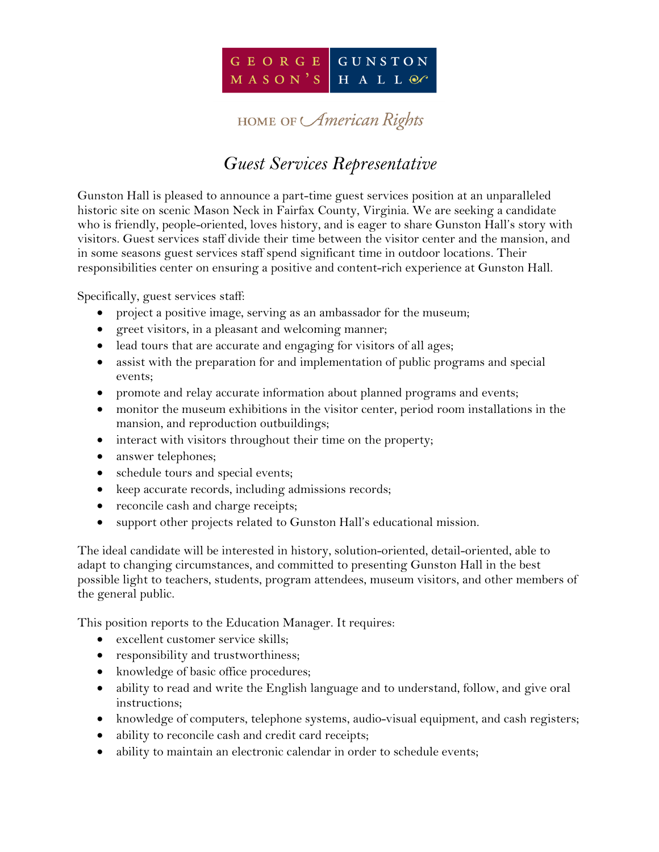

## HOME OF *American* Rights

## *Guest Services Representative*

Gunston Hall is pleased to announce a part-time guest services position at an unparalleled historic site on scenic Mason Neck in Fairfax County, Virginia. We are seeking a candidate who is friendly, people-oriented, loves history, and is eager to share Gunston Hall's story with visitors. Guest services staff divide their time between the visitor center and the mansion, and in some seasons guest services staff spend significant time in outdoor locations. Their responsibilities center on ensuring a positive and content-rich experience at Gunston Hall.

Specifically, guest services staff:

- project a positive image, serving as an ambassador for the museum;
- greet visitors, in a pleasant and welcoming manner;
- lead tours that are accurate and engaging for visitors of all ages;
- assist with the preparation for and implementation of public programs and special events;
- promote and relay accurate information about planned programs and events;
- monitor the museum exhibitions in the visitor center, period room installations in the mansion, and reproduction outbuildings;
- interact with visitors throughout their time on the property;
- answer telephones;
- schedule tours and special events;
- keep accurate records, including admissions records;
- reconcile cash and charge receipts;
- support other projects related to Gunston Hall's educational mission.

The ideal candidate will be interested in history, solution-oriented, detail-oriented, able to adapt to changing circumstances, and committed to presenting Gunston Hall in the best possible light to teachers, students, program attendees, museum visitors, and other members of the general public.

This position reports to the Education Manager. It requires:

- excellent customer service skills;
- responsibility and trustworthiness;
- knowledge of basic office procedures;
- ability to read and write the English language and to understand, follow, and give oral instructions;
- knowledge of computers, telephone systems, audio-visual equipment, and cash registers;
- ability to reconcile cash and credit card receipts;
- ability to maintain an electronic calendar in order to schedule events;